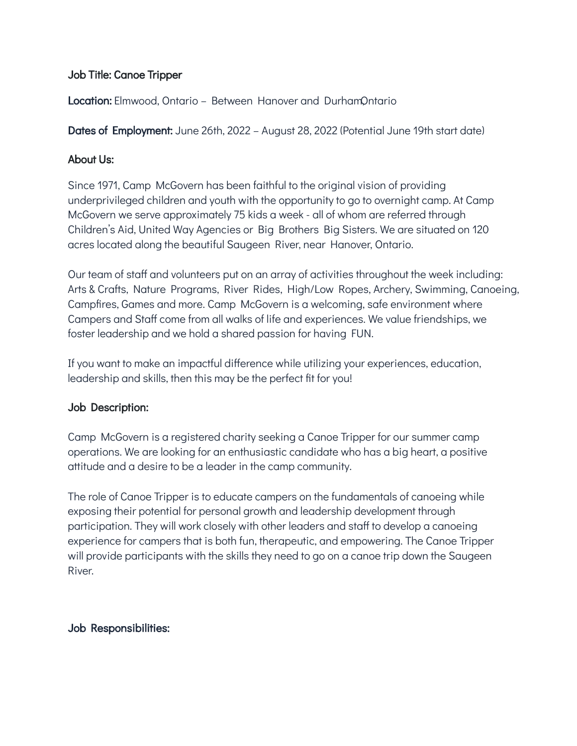### Job Title: Canoe Tripper

**Location:** Elmwood, Ontario – Between Hanover and DurhamOntario

Dates of Employment: June 26th, 2022 – August 28, 2022 (Potential June 19th start date)

### About Us:

Since 1971, Camp McGovern has been faithful to the original vision of providing underprivileged children and youth with the opportunity to go to overnight camp. At Camp McGovern we serve approximately 75 kids a week - all of whom are referred through Children's Aid, United Way Agencies or Big Brothers Big Sisters. We are situated on 120 acres located along the beautiful Saugeen River, near Hanover, Ontario.

Our team of staff and volunteers put on an array of activities throughout the week including: Arts & Crafts, Nature Programs, River Rides, High/Low Ropes, Archery, Swimming, Canoeing, Campfires, Games and more. Camp McGovern is a welcoming, safe environment where Campers and Staff come from all walks of life and experiences. We value friendships, we foster leadership and we hold a shared passion for having FUN.

If you want to make an impactful difference while utilizing your experiences, education, leadership and skills, then this may be the perfect fit for you!

# Job Description:

Camp McGovern is a registered charity seeking a Canoe Tripper for our summer camp operations. We are looking for an enthusiastic candidate who has a big heart, a positive attitude and a desire to be a leader in the camp community.

The role of Canoe Tripper is to educate campers on the fundamentals of canoeing while exposing their potential for personal growth and leadership development through participation. They will work closely with other leaders and staff to develop a canoeing experience for campers that is both fun, therapeutic, and empowering. The Canoe Tripper will provide participants with the skills they need to go on a canoe trip down the Saugeen River.

# Job Responsibilities: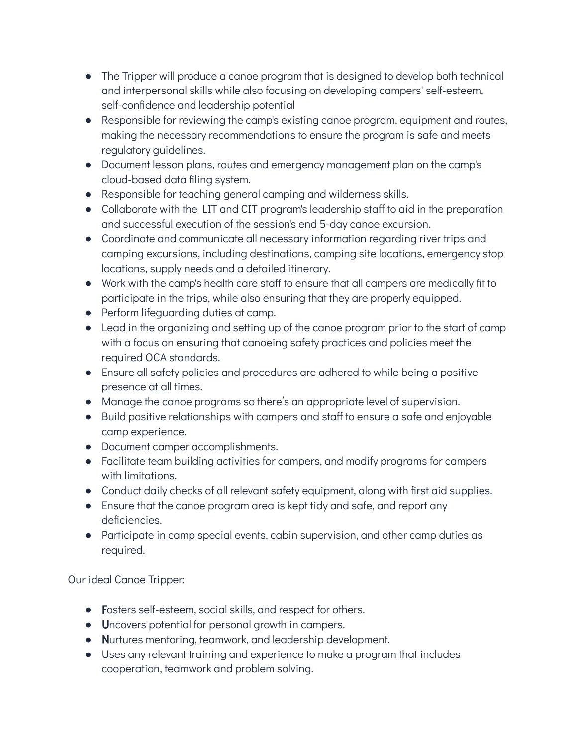- The Tripper will produce a canoe program that is designed to develop both technical and interpersonal skills while also focusing on developing campers' self-esteem, self-confidence and leadership potential
- Responsible for reviewing the camp's existing canoe program, equipment and routes, making the necessary recommendations to ensure the program is safe and meets regulatory guidelines.
- Document lesson plans, routes and emergency management plan on the camp's cloud-based data filing system.
- Responsible for teaching general camping and wilderness skills.
- Collaborate with the LIT and CIT program's leadership staff to aid in the preparation and successful execution of the session's end 5-day canoe excursion.
- Coordinate and communicate all necessary information regarding river trips and camping excursions, including destinations, camping site locations, emergency stop locations, supply needs and a detailed itinerary.
- Work with the camp's health care staff to ensure that all campers are medically fit to participate in the trips, while also ensuring that they are properly equipped.
- Perform lifeguarding duties at camp.
- Lead in the organizing and setting up of the canoe program prior to the start of camp with a focus on ensuring that canoeing safety practices and policies meet the required OCA standards.
- Ensure all safety policies and procedures are adhered to while being a positive presence at all times.
- Manage the canoe programs so there's an appropriate level of supervision.
- Build positive relationships with campers and staff to ensure a safe and enjoyable camp experience.
- Document camper accomplishments.
- Facilitate team building activities for campers, and modify programs for campers with limitations.
- Conduct daily checks of all relevant safety equipment, along with first aid supplies.
- Ensure that the canoe program area is kept tidy and safe, and report any deficiencies.
- Participate in camp special events, cabin supervision, and other camp duties as required.

Our ideal Canoe Tripper:

- Fosters self-esteem, social skills, and respect for others.
- Uncovers potential for personal growth in campers.
- Nurtures mentoring, teamwork, and leadership development.
- Uses any relevant training and experience to make a program that includes cooperation, teamwork and problem solving.